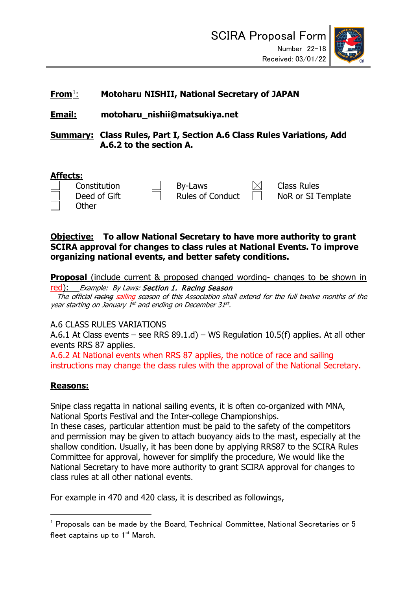

# **From**[1](#page-0-0): **Motoharu NISHII, National Secretary of JAPAN**

# **Email: motoharu\_nishii@matsukiya.net**

**Summary: Class Rules, Part I, Section A.6 Class Rules Variations, Add A.6.2 to the section A.**

### **Affects:**

| Constitution<br>Deed of Gift | By-Laws<br><b>Rules of Conduct</b> | <b>Class Rules</b><br>NoR or SI <sub>1</sub> |
|------------------------------|------------------------------------|----------------------------------------------|
| Other                        |                                    |                                              |

R or SI Template

### **Objective: To allow National Secretary to have more authority to grant SCIRA approval for changes to class rules at National Events. To improve organizing national events, and better safety conditions.**

**Proposal** (include current & proposed changed wording- changes to be shown in

red): Example: By Laws: Section 1. Racing Season The official racing sailing season of this Association shall extend for the full twelve months of the year starting on January 1<sup>st</sup> and ending on December 31st.

## A.6 CLASS RULES VARIATIONS

A.6.1 At Class events – see RRS 89.1.d) – WS Regulation 10.5(f) applies. At all other events RRS 87 applies.

A.6.2 At National events when RRS 87 applies, the notice of race and sailing instructions may change the class rules with the approval of the National Secretary.

# **Reasons:**

Snipe class regatta in national sailing events, it is often co-organized with MNA, National Sports Festival and the Inter-college Championships.

In these cases, particular attention must be paid to the safety of the competitors and permission may be given to attach buoyancy aids to the mast, especially at the shallow condition. Usually, it has been done by applying RRS87 to the SCIRA Rules Committee for approval, however for simplify the procedure, We would like the National Secretary to have more authority to grant SCIRA approval for changes to class rules at all other national events.

For example in 470 and 420 class, it is described as followings,

<span id="page-0-0"></span> $1$  Proposals can be made by the Board, Technical Committee, National Secretaries or 5 fleet captains up to  $1<sup>st</sup>$  March.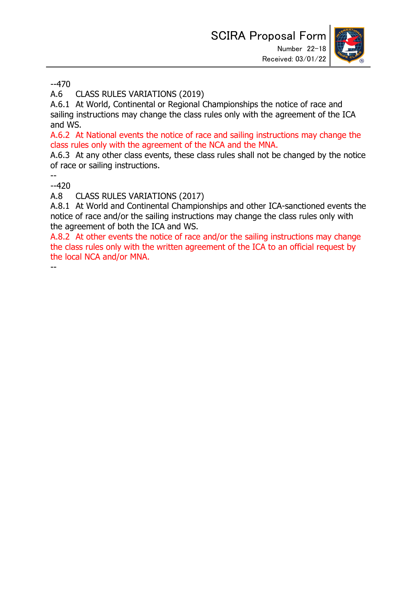

--470

A.6 CLASS RULES VARIATIONS (2019)

A.6.1 At World, Continental or Regional Championships the notice of race and sailing instructions may change the class rules only with the agreement of the ICA and WS.

A.6.2 At National events the notice of race and sailing instructions may change the class rules only with the agreement of the NCA and the MNA.

A.6.3 At any other class events, these class rules shall not be changed by the notice of race or sailing instructions.

--

--420

A.8 CLASS RULES VARIATIONS (2017)

A.8.1 At World and Continental Championships and other ICA-sanctioned events the notice of race and/or the sailing instructions may change the class rules only with the agreement of both the ICA and WS.

A.8.2 At other events the notice of race and/or the sailing instructions may change the class rules only with the written agreement of the ICA to an official request by the local NCA and/or MNA.

--